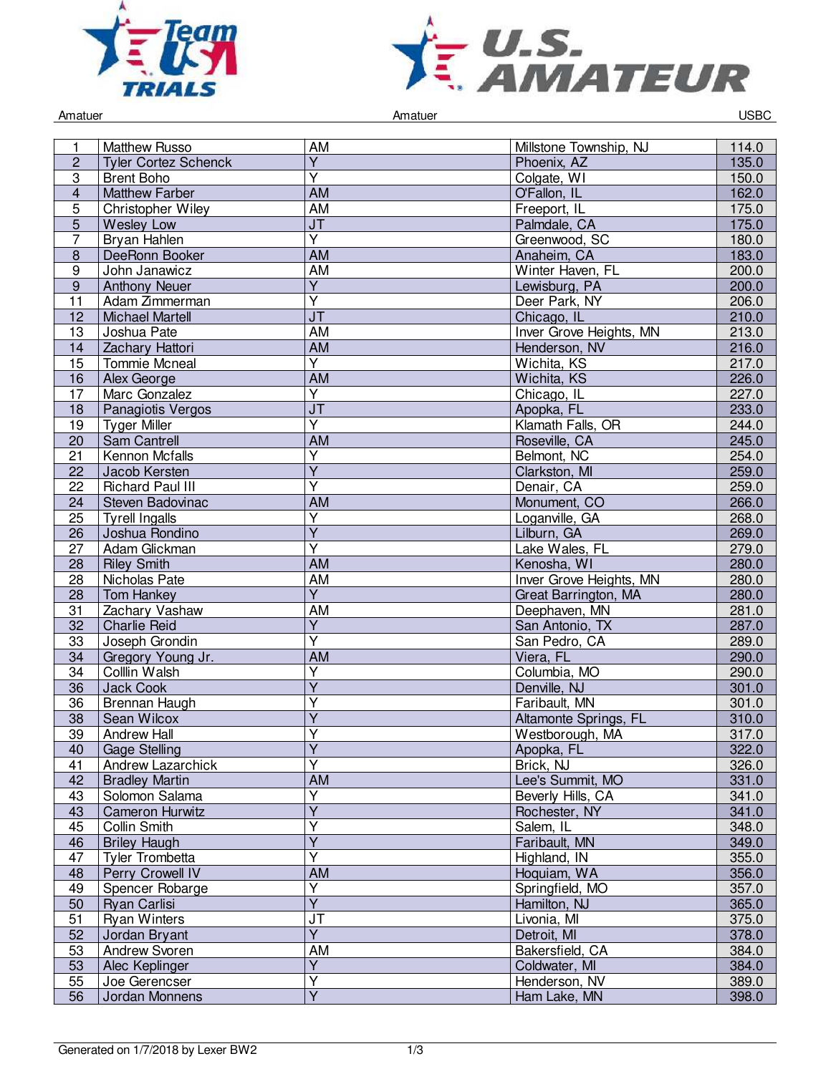



Amatuer Controller Controller Amatuer Amatuer Controller Controller Controller Controller Controller Controller

| 1               | <b>Matthew Russo</b>        | AM                                | Millstone Township, NJ  | 114.0 |
|-----------------|-----------------------------|-----------------------------------|-------------------------|-------|
| $\overline{2}$  | <b>Tyler Cortez Schenck</b> | $\overline{Y}$                    | Phoenix, AZ             | 135.0 |
| $\sqrt{3}$      | <b>Brent Boho</b>           | $\overline{\mathsf{Y}}$           | Colgate, WI             | 150.0 |
| $\overline{4}$  | <b>Matthew Farber</b>       | <b>AM</b>                         | O'Fallon, IL            | 162.0 |
| 5               | Christopher Wiley           | <b>AM</b>                         | Freeport, IL            | 175.0 |
| 5               | Wesley Low                  | <b>JT</b>                         | Palmdale, CA            | 175.0 |
| 7               | Bryan Hahlen                | $\overline{Y}$                    | Greenwood, SC           | 180.0 |
| $\bf 8$         | DeeRonn Booker              | <b>AM</b>                         | Anaheim, CA             | 183.0 |
| $\overline{9}$  | John Janawicz               | <b>AM</b>                         | Winter Haven, FL        | 200.0 |
| $9\,$           | <b>Anthony Neuer</b>        | $\overline{Y}$                    | Lewisburg, PA           | 200.0 |
| 11              | Adam Zimmerman              | $\overline{\mathsf{Y}}$           | Deer Park, NY           | 206.0 |
| 12              | <b>Michael Martell</b>      | J <sub>T</sub>                    | Chicago, IL             | 210.0 |
| 13              | Joshua Pate                 | <b>AM</b>                         | Inver Grove Heights, MN | 213.0 |
| 14              | Zachary Hattori             | <b>AM</b>                         | Henderson, NV           | 216.0 |
| 15              | <b>Tommie Mcneal</b>        | $\overline{Y}$                    | Wichita, KS             | 217.0 |
| 16              | Alex George                 | <b>AM</b>                         | Wichita, KS             | 226.0 |
| 17              | Marc Gonzalez               | Υ                                 | Chicago, IL             | 227.0 |
| 18              | Panagiotis Vergos           | J <sub>T</sub>                    | Apopka, FL              | 233.0 |
| 19              | <b>Tyger Miller</b>         | $\overline{\mathsf{Y}}$           | Klamath Falls, OR       | 244.0 |
| 20              | Sam Cantrell                | <b>AM</b>                         | Roseville, CA           | 245.0 |
| $\overline{21}$ | Kennon Mcfalls              | $\overline{\mathsf{Y}}$           | Belmont, NC             | 254.0 |
|                 |                             | $\overline{\mathsf{Y}}$           |                         |       |
| 22              | Jacob Kersten               | $\overline{\mathsf{Y}}$           | Clarkston, MI           | 259.0 |
| 22              | <b>Richard Paul III</b>     |                                   | Denair, CA              | 259.0 |
| 24              | Steven Badovinac            | AM                                | Monument, CO            | 266.0 |
| 25              | <b>Tyrell Ingalls</b>       | $\overline{Y}$                    | Loganville, GA          | 268.0 |
| 26              | Joshua Rondino              | $\overline{\mathsf{Y}}$           | Lilburn, GA             | 269.0 |
| 27              | Adam Glickman               | Υ                                 | Lake Wales, FL          | 279.0 |
| 28              | <b>Riley Smith</b>          | $\overline{AM}$                   | Kenosha, WI             | 280.0 |
| 28              | Nicholas Pate               | <b>AM</b>                         | Inver Grove Heights, MN | 280.0 |
| 28              | Tom Hankey                  | $\overline{Y}$                    | Great Barrington, MA    | 280.0 |
| 31              | Zachary Vashaw              | $\overline{AM}$                   | Deephaven, MN           | 281.0 |
| 32              | <b>Charlie Reid</b>         | $\overline{Y}$                    | San Antonio, TX         | 287.0 |
| 33              | Joseph Grondin              | $\overline{\mathsf{Y}}$           | San Pedro, CA           | 289.0 |
| 34              | Gregory Young Jr.           | <b>AM</b>                         | Viera, FL               | 290.0 |
| 34              | Colllin Walsh               | Υ                                 | Columbia, MO            | 290.0 |
| 36              | Jack Cook                   | $\overline{Y}$                    | Denville, NJ            | 301.0 |
| 36              | <b>Brennan Haugh</b>        | Y                                 | Faribault, MN           | 301.0 |
| 38              | Sean Wilcox                 | $\overline{Y}$                    | Altamonte Springs, FL   | 310.0 |
| $\overline{39}$ | <b>Andrew Hall</b>          | Υ                                 | Westborough, MA         | 317.0 |
| 40              | <b>Gage Stelling</b>        | Y                                 | Apopka, FL              | 322.0 |
| 41              | Andrew Lazarchick           | $\overline{\mathsf{Y}}$           | Brick, NJ               | 326.0 |
| 42              | <b>Bradley Martin</b>       | AM                                | Lee's Summit, MO        | 331.0 |
| 43              | Solomon Salama              | $\overline{Y}$                    | Beverly Hills, CA       | 341.0 |
| 43              | <b>Cameron Hurwitz</b>      | $\overline{Y}$                    | Rochester, NY           | 341.0 |
| 45              | Collin Smith                | Y                                 | Salem, IL               | 348.0 |
| 46              | <b>Briley Haugh</b>         | $\overline{Y}$                    | Faribault, MN           | 349.0 |
| 47              | <b>Tyler Trombetta</b>      | Υ                                 | Highland, IN            | 355.0 |
| 48              | Perry Crowell IV            | <b>AM</b>                         | Hoquiam, WA             | 356.0 |
| 49              | Spencer Robarge             | $\overline{Y}$                    | Springfield, MO         | 357.0 |
| 50              | Ryan Carlisi                | $\overline{Y}$                    | Hamilton, NJ            | 365.0 |
| 51              | <b>Ryan Winters</b>         | $\overline{\mathsf{J}\mathsf{T}}$ | Livonia, MI             | 375.0 |
| 52              | Jordan Bryant               | $\overline{Y}$                    | Detroit, MI             | 378.0 |
| 53              | Andrew Svoren               | AM                                | Bakersfield, CA         | 384.0 |
| 53              | Alec Keplinger              | $\overline{Y}$                    | Coldwater, MI           | 384.0 |
| 55              | Joe Gerencser               | $\overline{\mathsf{Y}}$           | Henderson, NV           | 389.0 |
| 56              | Jordan Monnens              | $\overline{Y}$                    | Ham Lake, MN            | 398.0 |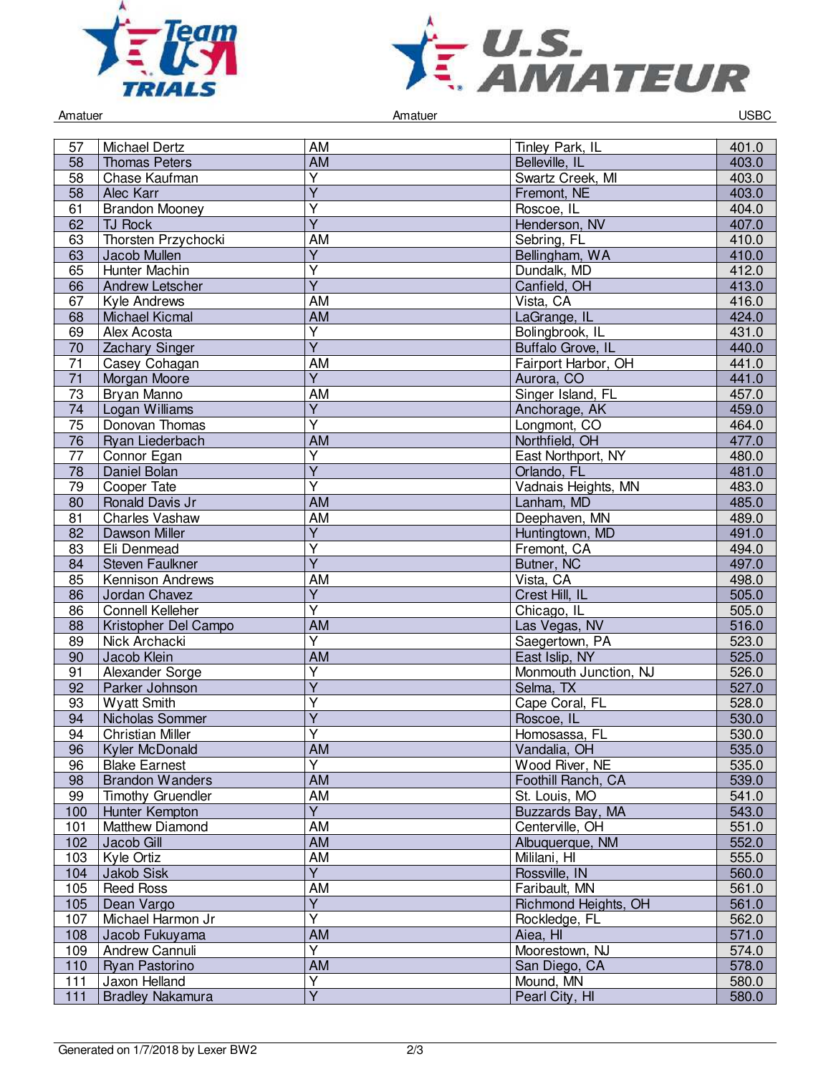



Amatuer Controller Controller Amatuer Amatuer Controller Controller Controller Controller Controller Controller

| <b>AM</b><br>403.0<br>58<br><b>Thomas Peters</b><br>Belleville, IL<br>$\overline{\mathsf{Y}}$<br>58<br>Chase Kaufman<br>Swartz Creek, MI<br>403.0<br>$\overline{Y}$<br>403.0<br>58<br>Alec Karr<br>Fremont, NE<br>$\overline{Y}$<br>61<br><b>Brandon Mooney</b><br>404.0<br>Roscoe, IL<br>$\overline{\mathsf{Y}}$<br>Henderson, NV<br>407.0<br>TJ Rock<br>62<br>Thorsten Przychocki<br>AM<br>Sebring, FL<br>410.0<br>63<br>$\overline{Y}$<br>Bellingham, WA<br>410.0<br>63<br>Jacob Mullen<br>65<br>$\overline{Y}$<br>Dundalk, MD<br>412.0<br>Hunter Machin<br>$\overline{Y}$<br>413.0<br>66<br>Canfield, OH<br>Andrew Letscher<br><b>AM</b><br>416.0<br>67<br>Vista, CA<br>Kyle Andrews<br><b>AM</b><br><b>Michael Kicmal</b><br>LaGrange, IL<br>424.0<br>68<br>$\overline{\mathsf{Y}}$<br>69<br>Alex Acosta<br>Bolingbrook, IL<br>431.0<br>$\overline{Y}$<br>70<br>Buffalo Grove, IL<br>440.0<br><b>Zachary Singer</b><br>$\overline{71}$<br>Casey Cohagan<br>AM<br>Fairport Harbor, OH<br>441.0<br>$\overline{Y}$<br>441.0<br>71<br>Aurora, CO<br>Morgan Moore<br>Singer Island, FL<br>457.0<br>73<br>Bryan Manno<br>AM<br>459.0<br>$\overline{Y}$<br>74<br>Logan Williams<br>Anchorage, AK<br>$\overline{\mathsf{Y}}$<br>$\overline{75}$<br>464.0<br>Donovan Thomas<br>Longmont, CO<br><b>AM</b><br>76<br>477.0<br>Northfield, OH<br>Ryan Liederbach<br>$\overline{\mathsf{Y}}$<br>480.0<br>77<br>East Northport, NY<br>Connor Egan<br>$\overline{\mathsf{Y}}$<br>481.0<br>Daniel Bolan<br>Orlando, FL<br>78<br>$\overline{\mathsf{Y}}$<br>$\overline{79}$<br>Vadnais Heights, MN<br>483.0<br>Cooper Tate<br><b>AM</b><br>485.0<br>80<br>Ronald Davis Jr<br>Lanham, MD<br><b>AM</b><br>81<br>Charles Vashaw<br>Deephaven, MN<br>489.0<br>$\overline{Y}$<br>491.0<br>82<br>Dawson Miller<br>Huntingtown, MD<br>Υ<br>Eli Denmead<br>Fremont, CA<br>494.0<br>83<br>$\overline{Y}$<br>497.0<br>84<br><b>Steven Faulkner</b><br>Butner, NC<br><b>AM</b><br>85<br>Vista, CA<br>498.0<br><b>Kennison Andrews</b><br>$\overline{Y}$<br>505.0<br>86<br>Jordan Chavez<br>Crest Hill, IL<br>$\overline{\mathsf{Y}}$<br><b>Connell Kelleher</b><br>505.0<br>86<br>Chicago, IL<br>AM<br>Las Vegas, NV<br>516.0<br>88<br>Kristopher Del Campo<br>$\overline{Y}$<br>Nick Archacki<br>Saegertown, PA<br>523.0<br>89<br><b>AM</b><br>525.0<br>Jacob Klein<br>East Islip, NY<br>90<br>Y<br>91<br>Alexander Sorge<br>Monmouth Junction, NJ<br>526.0<br>$\overline{\mathsf{Y}}$<br>527.0<br>92<br>Parker Johnson<br>Selma, TX<br><b>Wyatt Smith</b><br>Υ<br>528.0<br>Cape Coral, FL<br>93<br>$\overline{Y}$<br>530.0<br>94<br>Roscoe, IL<br>Nicholas Sommer<br>$\overline{94}$<br>Υ<br><b>Christian Miller</b><br>530.0<br>Homosassa, FL<br>AM<br>Vandalia, OH<br>Kyler McDonald<br>535.0<br>96<br>$\overline{Y}$<br>96<br><b>Blake Earnest</b><br>Wood River, NE<br>535.0<br>AM<br>98<br><b>Brandon Wanders</b><br>Foothill Ranch, CA<br>539.0<br>AM<br><b>Timothy Gruendler</b><br>St. Louis, MO<br>541.0<br>99<br>$\overline{Y}$<br>543.0<br>100<br>Hunter Kempton<br>Buzzards Bay, MA<br>101<br>AM<br>Centerville, OH<br>Matthew Diamond<br>551.0<br>AM<br>552.0<br>102<br>Jacob Gill<br>Albuquerque, NM<br>Mililani, HI<br>Kyle Ortiz<br>AM<br>555.0<br>103<br>$\overline{Y}$<br>560.0<br>Jakob Sisk<br>Rossville, IN<br>104<br><b>AM</b><br>Faribault, MN<br>105<br><b>Reed Ross</b><br>561.0<br>$\overline{Y}$<br>561.0<br>105<br>Dean Vargo<br>Richmond Heights, OH<br>$\overline{\mathsf{Y}}$<br>562.0<br>107<br>Michael Harmon Jr<br>Rockledge, FL<br>AM<br>571.0<br>108<br>Aiea, HI<br>Jacob Fukuyama<br>$\overline{\mathsf{Y}}$<br>574.0<br>109<br>Andrew Cannuli<br>Moorestown, NJ<br><b>AM</b><br>578.0<br>Ryan Pastorino<br>San Diego, CA<br>110<br>$\overline{\mathsf{Y}}$<br>111<br>Jaxon Helland<br>Mound, MN<br>580.0 | 57  | <b>Michael Dertz</b>    | AM             | Tinley Park, IL | 401.0 |
|--------------------------------------------------------------------------------------------------------------------------------------------------------------------------------------------------------------------------------------------------------------------------------------------------------------------------------------------------------------------------------------------------------------------------------------------------------------------------------------------------------------------------------------------------------------------------------------------------------------------------------------------------------------------------------------------------------------------------------------------------------------------------------------------------------------------------------------------------------------------------------------------------------------------------------------------------------------------------------------------------------------------------------------------------------------------------------------------------------------------------------------------------------------------------------------------------------------------------------------------------------------------------------------------------------------------------------------------------------------------------------------------------------------------------------------------------------------------------------------------------------------------------------------------------------------------------------------------------------------------------------------------------------------------------------------------------------------------------------------------------------------------------------------------------------------------------------------------------------------------------------------------------------------------------------------------------------------------------------------------------------------------------------------------------------------------------------------------------------------------------------------------------------------------------------------------------------------------------------------------------------------------------------------------------------------------------------------------------------------------------------------------------------------------------------------------------------------------------------------------------------------------------------------------------------------------------------------------------------------------------------------------------------------------------------------------------------------------------------------------------------------------------------------------------------------------------------------------------------------------------------------------------------------------------------------------------------------------------------------------------------------------------------------------------------------------------------------------------------------------------------------------------------------------------------------------------------------------------------------------------------------------------------------------------------------------------------------------------------------------------------------------------------------------------------------------------------------------------------------------------------------------------------------------------------------------------------------------------------------------------------------------------------------------------------------------------------------------------------------------------------------------------------------------------------------------------|-----|-------------------------|----------------|-----------------|-------|
|                                                                                                                                                                                                                                                                                                                                                                                                                                                                                                                                                                                                                                                                                                                                                                                                                                                                                                                                                                                                                                                                                                                                                                                                                                                                                                                                                                                                                                                                                                                                                                                                                                                                                                                                                                                                                                                                                                                                                                                                                                                                                                                                                                                                                                                                                                                                                                                                                                                                                                                                                                                                                                                                                                                                                                                                                                                                                                                                                                                                                                                                                                                                                                                                                                                                                                                                                                                                                                                                                                                                                                                                                                                                                                                                                                                                                          |     |                         |                |                 |       |
|                                                                                                                                                                                                                                                                                                                                                                                                                                                                                                                                                                                                                                                                                                                                                                                                                                                                                                                                                                                                                                                                                                                                                                                                                                                                                                                                                                                                                                                                                                                                                                                                                                                                                                                                                                                                                                                                                                                                                                                                                                                                                                                                                                                                                                                                                                                                                                                                                                                                                                                                                                                                                                                                                                                                                                                                                                                                                                                                                                                                                                                                                                                                                                                                                                                                                                                                                                                                                                                                                                                                                                                                                                                                                                                                                                                                                          |     |                         |                |                 |       |
|                                                                                                                                                                                                                                                                                                                                                                                                                                                                                                                                                                                                                                                                                                                                                                                                                                                                                                                                                                                                                                                                                                                                                                                                                                                                                                                                                                                                                                                                                                                                                                                                                                                                                                                                                                                                                                                                                                                                                                                                                                                                                                                                                                                                                                                                                                                                                                                                                                                                                                                                                                                                                                                                                                                                                                                                                                                                                                                                                                                                                                                                                                                                                                                                                                                                                                                                                                                                                                                                                                                                                                                                                                                                                                                                                                                                                          |     |                         |                |                 |       |
|                                                                                                                                                                                                                                                                                                                                                                                                                                                                                                                                                                                                                                                                                                                                                                                                                                                                                                                                                                                                                                                                                                                                                                                                                                                                                                                                                                                                                                                                                                                                                                                                                                                                                                                                                                                                                                                                                                                                                                                                                                                                                                                                                                                                                                                                                                                                                                                                                                                                                                                                                                                                                                                                                                                                                                                                                                                                                                                                                                                                                                                                                                                                                                                                                                                                                                                                                                                                                                                                                                                                                                                                                                                                                                                                                                                                                          |     |                         |                |                 |       |
|                                                                                                                                                                                                                                                                                                                                                                                                                                                                                                                                                                                                                                                                                                                                                                                                                                                                                                                                                                                                                                                                                                                                                                                                                                                                                                                                                                                                                                                                                                                                                                                                                                                                                                                                                                                                                                                                                                                                                                                                                                                                                                                                                                                                                                                                                                                                                                                                                                                                                                                                                                                                                                                                                                                                                                                                                                                                                                                                                                                                                                                                                                                                                                                                                                                                                                                                                                                                                                                                                                                                                                                                                                                                                                                                                                                                                          |     |                         |                |                 |       |
|                                                                                                                                                                                                                                                                                                                                                                                                                                                                                                                                                                                                                                                                                                                                                                                                                                                                                                                                                                                                                                                                                                                                                                                                                                                                                                                                                                                                                                                                                                                                                                                                                                                                                                                                                                                                                                                                                                                                                                                                                                                                                                                                                                                                                                                                                                                                                                                                                                                                                                                                                                                                                                                                                                                                                                                                                                                                                                                                                                                                                                                                                                                                                                                                                                                                                                                                                                                                                                                                                                                                                                                                                                                                                                                                                                                                                          |     |                         |                |                 |       |
|                                                                                                                                                                                                                                                                                                                                                                                                                                                                                                                                                                                                                                                                                                                                                                                                                                                                                                                                                                                                                                                                                                                                                                                                                                                                                                                                                                                                                                                                                                                                                                                                                                                                                                                                                                                                                                                                                                                                                                                                                                                                                                                                                                                                                                                                                                                                                                                                                                                                                                                                                                                                                                                                                                                                                                                                                                                                                                                                                                                                                                                                                                                                                                                                                                                                                                                                                                                                                                                                                                                                                                                                                                                                                                                                                                                                                          |     |                         |                |                 |       |
|                                                                                                                                                                                                                                                                                                                                                                                                                                                                                                                                                                                                                                                                                                                                                                                                                                                                                                                                                                                                                                                                                                                                                                                                                                                                                                                                                                                                                                                                                                                                                                                                                                                                                                                                                                                                                                                                                                                                                                                                                                                                                                                                                                                                                                                                                                                                                                                                                                                                                                                                                                                                                                                                                                                                                                                                                                                                                                                                                                                                                                                                                                                                                                                                                                                                                                                                                                                                                                                                                                                                                                                                                                                                                                                                                                                                                          |     |                         |                |                 |       |
|                                                                                                                                                                                                                                                                                                                                                                                                                                                                                                                                                                                                                                                                                                                                                                                                                                                                                                                                                                                                                                                                                                                                                                                                                                                                                                                                                                                                                                                                                                                                                                                                                                                                                                                                                                                                                                                                                                                                                                                                                                                                                                                                                                                                                                                                                                                                                                                                                                                                                                                                                                                                                                                                                                                                                                                                                                                                                                                                                                                                                                                                                                                                                                                                                                                                                                                                                                                                                                                                                                                                                                                                                                                                                                                                                                                                                          |     |                         |                |                 |       |
|                                                                                                                                                                                                                                                                                                                                                                                                                                                                                                                                                                                                                                                                                                                                                                                                                                                                                                                                                                                                                                                                                                                                                                                                                                                                                                                                                                                                                                                                                                                                                                                                                                                                                                                                                                                                                                                                                                                                                                                                                                                                                                                                                                                                                                                                                                                                                                                                                                                                                                                                                                                                                                                                                                                                                                                                                                                                                                                                                                                                                                                                                                                                                                                                                                                                                                                                                                                                                                                                                                                                                                                                                                                                                                                                                                                                                          |     |                         |                |                 |       |
|                                                                                                                                                                                                                                                                                                                                                                                                                                                                                                                                                                                                                                                                                                                                                                                                                                                                                                                                                                                                                                                                                                                                                                                                                                                                                                                                                                                                                                                                                                                                                                                                                                                                                                                                                                                                                                                                                                                                                                                                                                                                                                                                                                                                                                                                                                                                                                                                                                                                                                                                                                                                                                                                                                                                                                                                                                                                                                                                                                                                                                                                                                                                                                                                                                                                                                                                                                                                                                                                                                                                                                                                                                                                                                                                                                                                                          |     |                         |                |                 |       |
|                                                                                                                                                                                                                                                                                                                                                                                                                                                                                                                                                                                                                                                                                                                                                                                                                                                                                                                                                                                                                                                                                                                                                                                                                                                                                                                                                                                                                                                                                                                                                                                                                                                                                                                                                                                                                                                                                                                                                                                                                                                                                                                                                                                                                                                                                                                                                                                                                                                                                                                                                                                                                                                                                                                                                                                                                                                                                                                                                                                                                                                                                                                                                                                                                                                                                                                                                                                                                                                                                                                                                                                                                                                                                                                                                                                                                          |     |                         |                |                 |       |
|                                                                                                                                                                                                                                                                                                                                                                                                                                                                                                                                                                                                                                                                                                                                                                                                                                                                                                                                                                                                                                                                                                                                                                                                                                                                                                                                                                                                                                                                                                                                                                                                                                                                                                                                                                                                                                                                                                                                                                                                                                                                                                                                                                                                                                                                                                                                                                                                                                                                                                                                                                                                                                                                                                                                                                                                                                                                                                                                                                                                                                                                                                                                                                                                                                                                                                                                                                                                                                                                                                                                                                                                                                                                                                                                                                                                                          |     |                         |                |                 |       |
|                                                                                                                                                                                                                                                                                                                                                                                                                                                                                                                                                                                                                                                                                                                                                                                                                                                                                                                                                                                                                                                                                                                                                                                                                                                                                                                                                                                                                                                                                                                                                                                                                                                                                                                                                                                                                                                                                                                                                                                                                                                                                                                                                                                                                                                                                                                                                                                                                                                                                                                                                                                                                                                                                                                                                                                                                                                                                                                                                                                                                                                                                                                                                                                                                                                                                                                                                                                                                                                                                                                                                                                                                                                                                                                                                                                                                          |     |                         |                |                 |       |
|                                                                                                                                                                                                                                                                                                                                                                                                                                                                                                                                                                                                                                                                                                                                                                                                                                                                                                                                                                                                                                                                                                                                                                                                                                                                                                                                                                                                                                                                                                                                                                                                                                                                                                                                                                                                                                                                                                                                                                                                                                                                                                                                                                                                                                                                                                                                                                                                                                                                                                                                                                                                                                                                                                                                                                                                                                                                                                                                                                                                                                                                                                                                                                                                                                                                                                                                                                                                                                                                                                                                                                                                                                                                                                                                                                                                                          |     |                         |                |                 |       |
|                                                                                                                                                                                                                                                                                                                                                                                                                                                                                                                                                                                                                                                                                                                                                                                                                                                                                                                                                                                                                                                                                                                                                                                                                                                                                                                                                                                                                                                                                                                                                                                                                                                                                                                                                                                                                                                                                                                                                                                                                                                                                                                                                                                                                                                                                                                                                                                                                                                                                                                                                                                                                                                                                                                                                                                                                                                                                                                                                                                                                                                                                                                                                                                                                                                                                                                                                                                                                                                                                                                                                                                                                                                                                                                                                                                                                          |     |                         |                |                 |       |
|                                                                                                                                                                                                                                                                                                                                                                                                                                                                                                                                                                                                                                                                                                                                                                                                                                                                                                                                                                                                                                                                                                                                                                                                                                                                                                                                                                                                                                                                                                                                                                                                                                                                                                                                                                                                                                                                                                                                                                                                                                                                                                                                                                                                                                                                                                                                                                                                                                                                                                                                                                                                                                                                                                                                                                                                                                                                                                                                                                                                                                                                                                                                                                                                                                                                                                                                                                                                                                                                                                                                                                                                                                                                                                                                                                                                                          |     |                         |                |                 |       |
|                                                                                                                                                                                                                                                                                                                                                                                                                                                                                                                                                                                                                                                                                                                                                                                                                                                                                                                                                                                                                                                                                                                                                                                                                                                                                                                                                                                                                                                                                                                                                                                                                                                                                                                                                                                                                                                                                                                                                                                                                                                                                                                                                                                                                                                                                                                                                                                                                                                                                                                                                                                                                                                                                                                                                                                                                                                                                                                                                                                                                                                                                                                                                                                                                                                                                                                                                                                                                                                                                                                                                                                                                                                                                                                                                                                                                          |     |                         |                |                 |       |
|                                                                                                                                                                                                                                                                                                                                                                                                                                                                                                                                                                                                                                                                                                                                                                                                                                                                                                                                                                                                                                                                                                                                                                                                                                                                                                                                                                                                                                                                                                                                                                                                                                                                                                                                                                                                                                                                                                                                                                                                                                                                                                                                                                                                                                                                                                                                                                                                                                                                                                                                                                                                                                                                                                                                                                                                                                                                                                                                                                                                                                                                                                                                                                                                                                                                                                                                                                                                                                                                                                                                                                                                                                                                                                                                                                                                                          |     |                         |                |                 |       |
|                                                                                                                                                                                                                                                                                                                                                                                                                                                                                                                                                                                                                                                                                                                                                                                                                                                                                                                                                                                                                                                                                                                                                                                                                                                                                                                                                                                                                                                                                                                                                                                                                                                                                                                                                                                                                                                                                                                                                                                                                                                                                                                                                                                                                                                                                                                                                                                                                                                                                                                                                                                                                                                                                                                                                                                                                                                                                                                                                                                                                                                                                                                                                                                                                                                                                                                                                                                                                                                                                                                                                                                                                                                                                                                                                                                                                          |     |                         |                |                 |       |
|                                                                                                                                                                                                                                                                                                                                                                                                                                                                                                                                                                                                                                                                                                                                                                                                                                                                                                                                                                                                                                                                                                                                                                                                                                                                                                                                                                                                                                                                                                                                                                                                                                                                                                                                                                                                                                                                                                                                                                                                                                                                                                                                                                                                                                                                                                                                                                                                                                                                                                                                                                                                                                                                                                                                                                                                                                                                                                                                                                                                                                                                                                                                                                                                                                                                                                                                                                                                                                                                                                                                                                                                                                                                                                                                                                                                                          |     |                         |                |                 |       |
|                                                                                                                                                                                                                                                                                                                                                                                                                                                                                                                                                                                                                                                                                                                                                                                                                                                                                                                                                                                                                                                                                                                                                                                                                                                                                                                                                                                                                                                                                                                                                                                                                                                                                                                                                                                                                                                                                                                                                                                                                                                                                                                                                                                                                                                                                                                                                                                                                                                                                                                                                                                                                                                                                                                                                                                                                                                                                                                                                                                                                                                                                                                                                                                                                                                                                                                                                                                                                                                                                                                                                                                                                                                                                                                                                                                                                          |     |                         |                |                 |       |
|                                                                                                                                                                                                                                                                                                                                                                                                                                                                                                                                                                                                                                                                                                                                                                                                                                                                                                                                                                                                                                                                                                                                                                                                                                                                                                                                                                                                                                                                                                                                                                                                                                                                                                                                                                                                                                                                                                                                                                                                                                                                                                                                                                                                                                                                                                                                                                                                                                                                                                                                                                                                                                                                                                                                                                                                                                                                                                                                                                                                                                                                                                                                                                                                                                                                                                                                                                                                                                                                                                                                                                                                                                                                                                                                                                                                                          |     |                         |                |                 |       |
|                                                                                                                                                                                                                                                                                                                                                                                                                                                                                                                                                                                                                                                                                                                                                                                                                                                                                                                                                                                                                                                                                                                                                                                                                                                                                                                                                                                                                                                                                                                                                                                                                                                                                                                                                                                                                                                                                                                                                                                                                                                                                                                                                                                                                                                                                                                                                                                                                                                                                                                                                                                                                                                                                                                                                                                                                                                                                                                                                                                                                                                                                                                                                                                                                                                                                                                                                                                                                                                                                                                                                                                                                                                                                                                                                                                                                          |     |                         |                |                 |       |
|                                                                                                                                                                                                                                                                                                                                                                                                                                                                                                                                                                                                                                                                                                                                                                                                                                                                                                                                                                                                                                                                                                                                                                                                                                                                                                                                                                                                                                                                                                                                                                                                                                                                                                                                                                                                                                                                                                                                                                                                                                                                                                                                                                                                                                                                                                                                                                                                                                                                                                                                                                                                                                                                                                                                                                                                                                                                                                                                                                                                                                                                                                                                                                                                                                                                                                                                                                                                                                                                                                                                                                                                                                                                                                                                                                                                                          |     |                         |                |                 |       |
|                                                                                                                                                                                                                                                                                                                                                                                                                                                                                                                                                                                                                                                                                                                                                                                                                                                                                                                                                                                                                                                                                                                                                                                                                                                                                                                                                                                                                                                                                                                                                                                                                                                                                                                                                                                                                                                                                                                                                                                                                                                                                                                                                                                                                                                                                                                                                                                                                                                                                                                                                                                                                                                                                                                                                                                                                                                                                                                                                                                                                                                                                                                                                                                                                                                                                                                                                                                                                                                                                                                                                                                                                                                                                                                                                                                                                          |     |                         |                |                 |       |
|                                                                                                                                                                                                                                                                                                                                                                                                                                                                                                                                                                                                                                                                                                                                                                                                                                                                                                                                                                                                                                                                                                                                                                                                                                                                                                                                                                                                                                                                                                                                                                                                                                                                                                                                                                                                                                                                                                                                                                                                                                                                                                                                                                                                                                                                                                                                                                                                                                                                                                                                                                                                                                                                                                                                                                                                                                                                                                                                                                                                                                                                                                                                                                                                                                                                                                                                                                                                                                                                                                                                                                                                                                                                                                                                                                                                                          |     |                         |                |                 |       |
|                                                                                                                                                                                                                                                                                                                                                                                                                                                                                                                                                                                                                                                                                                                                                                                                                                                                                                                                                                                                                                                                                                                                                                                                                                                                                                                                                                                                                                                                                                                                                                                                                                                                                                                                                                                                                                                                                                                                                                                                                                                                                                                                                                                                                                                                                                                                                                                                                                                                                                                                                                                                                                                                                                                                                                                                                                                                                                                                                                                                                                                                                                                                                                                                                                                                                                                                                                                                                                                                                                                                                                                                                                                                                                                                                                                                                          |     |                         |                |                 |       |
|                                                                                                                                                                                                                                                                                                                                                                                                                                                                                                                                                                                                                                                                                                                                                                                                                                                                                                                                                                                                                                                                                                                                                                                                                                                                                                                                                                                                                                                                                                                                                                                                                                                                                                                                                                                                                                                                                                                                                                                                                                                                                                                                                                                                                                                                                                                                                                                                                                                                                                                                                                                                                                                                                                                                                                                                                                                                                                                                                                                                                                                                                                                                                                                                                                                                                                                                                                                                                                                                                                                                                                                                                                                                                                                                                                                                                          |     |                         |                |                 |       |
|                                                                                                                                                                                                                                                                                                                                                                                                                                                                                                                                                                                                                                                                                                                                                                                                                                                                                                                                                                                                                                                                                                                                                                                                                                                                                                                                                                                                                                                                                                                                                                                                                                                                                                                                                                                                                                                                                                                                                                                                                                                                                                                                                                                                                                                                                                                                                                                                                                                                                                                                                                                                                                                                                                                                                                                                                                                                                                                                                                                                                                                                                                                                                                                                                                                                                                                                                                                                                                                                                                                                                                                                                                                                                                                                                                                                                          |     |                         |                |                 |       |
|                                                                                                                                                                                                                                                                                                                                                                                                                                                                                                                                                                                                                                                                                                                                                                                                                                                                                                                                                                                                                                                                                                                                                                                                                                                                                                                                                                                                                                                                                                                                                                                                                                                                                                                                                                                                                                                                                                                                                                                                                                                                                                                                                                                                                                                                                                                                                                                                                                                                                                                                                                                                                                                                                                                                                                                                                                                                                                                                                                                                                                                                                                                                                                                                                                                                                                                                                                                                                                                                                                                                                                                                                                                                                                                                                                                                                          |     |                         |                |                 |       |
|                                                                                                                                                                                                                                                                                                                                                                                                                                                                                                                                                                                                                                                                                                                                                                                                                                                                                                                                                                                                                                                                                                                                                                                                                                                                                                                                                                                                                                                                                                                                                                                                                                                                                                                                                                                                                                                                                                                                                                                                                                                                                                                                                                                                                                                                                                                                                                                                                                                                                                                                                                                                                                                                                                                                                                                                                                                                                                                                                                                                                                                                                                                                                                                                                                                                                                                                                                                                                                                                                                                                                                                                                                                                                                                                                                                                                          |     |                         |                |                 |       |
|                                                                                                                                                                                                                                                                                                                                                                                                                                                                                                                                                                                                                                                                                                                                                                                                                                                                                                                                                                                                                                                                                                                                                                                                                                                                                                                                                                                                                                                                                                                                                                                                                                                                                                                                                                                                                                                                                                                                                                                                                                                                                                                                                                                                                                                                                                                                                                                                                                                                                                                                                                                                                                                                                                                                                                                                                                                                                                                                                                                                                                                                                                                                                                                                                                                                                                                                                                                                                                                                                                                                                                                                                                                                                                                                                                                                                          |     |                         |                |                 |       |
|                                                                                                                                                                                                                                                                                                                                                                                                                                                                                                                                                                                                                                                                                                                                                                                                                                                                                                                                                                                                                                                                                                                                                                                                                                                                                                                                                                                                                                                                                                                                                                                                                                                                                                                                                                                                                                                                                                                                                                                                                                                                                                                                                                                                                                                                                                                                                                                                                                                                                                                                                                                                                                                                                                                                                                                                                                                                                                                                                                                                                                                                                                                                                                                                                                                                                                                                                                                                                                                                                                                                                                                                                                                                                                                                                                                                                          |     |                         |                |                 |       |
|                                                                                                                                                                                                                                                                                                                                                                                                                                                                                                                                                                                                                                                                                                                                                                                                                                                                                                                                                                                                                                                                                                                                                                                                                                                                                                                                                                                                                                                                                                                                                                                                                                                                                                                                                                                                                                                                                                                                                                                                                                                                                                                                                                                                                                                                                                                                                                                                                                                                                                                                                                                                                                                                                                                                                                                                                                                                                                                                                                                                                                                                                                                                                                                                                                                                                                                                                                                                                                                                                                                                                                                                                                                                                                                                                                                                                          |     |                         |                |                 |       |
|                                                                                                                                                                                                                                                                                                                                                                                                                                                                                                                                                                                                                                                                                                                                                                                                                                                                                                                                                                                                                                                                                                                                                                                                                                                                                                                                                                                                                                                                                                                                                                                                                                                                                                                                                                                                                                                                                                                                                                                                                                                                                                                                                                                                                                                                                                                                                                                                                                                                                                                                                                                                                                                                                                                                                                                                                                                                                                                                                                                                                                                                                                                                                                                                                                                                                                                                                                                                                                                                                                                                                                                                                                                                                                                                                                                                                          |     |                         |                |                 |       |
|                                                                                                                                                                                                                                                                                                                                                                                                                                                                                                                                                                                                                                                                                                                                                                                                                                                                                                                                                                                                                                                                                                                                                                                                                                                                                                                                                                                                                                                                                                                                                                                                                                                                                                                                                                                                                                                                                                                                                                                                                                                                                                                                                                                                                                                                                                                                                                                                                                                                                                                                                                                                                                                                                                                                                                                                                                                                                                                                                                                                                                                                                                                                                                                                                                                                                                                                                                                                                                                                                                                                                                                                                                                                                                                                                                                                                          |     |                         |                |                 |       |
|                                                                                                                                                                                                                                                                                                                                                                                                                                                                                                                                                                                                                                                                                                                                                                                                                                                                                                                                                                                                                                                                                                                                                                                                                                                                                                                                                                                                                                                                                                                                                                                                                                                                                                                                                                                                                                                                                                                                                                                                                                                                                                                                                                                                                                                                                                                                                                                                                                                                                                                                                                                                                                                                                                                                                                                                                                                                                                                                                                                                                                                                                                                                                                                                                                                                                                                                                                                                                                                                                                                                                                                                                                                                                                                                                                                                                          |     |                         |                |                 |       |
|                                                                                                                                                                                                                                                                                                                                                                                                                                                                                                                                                                                                                                                                                                                                                                                                                                                                                                                                                                                                                                                                                                                                                                                                                                                                                                                                                                                                                                                                                                                                                                                                                                                                                                                                                                                                                                                                                                                                                                                                                                                                                                                                                                                                                                                                                                                                                                                                                                                                                                                                                                                                                                                                                                                                                                                                                                                                                                                                                                                                                                                                                                                                                                                                                                                                                                                                                                                                                                                                                                                                                                                                                                                                                                                                                                                                                          |     |                         |                |                 |       |
|                                                                                                                                                                                                                                                                                                                                                                                                                                                                                                                                                                                                                                                                                                                                                                                                                                                                                                                                                                                                                                                                                                                                                                                                                                                                                                                                                                                                                                                                                                                                                                                                                                                                                                                                                                                                                                                                                                                                                                                                                                                                                                                                                                                                                                                                                                                                                                                                                                                                                                                                                                                                                                                                                                                                                                                                                                                                                                                                                                                                                                                                                                                                                                                                                                                                                                                                                                                                                                                                                                                                                                                                                                                                                                                                                                                                                          |     |                         |                |                 |       |
|                                                                                                                                                                                                                                                                                                                                                                                                                                                                                                                                                                                                                                                                                                                                                                                                                                                                                                                                                                                                                                                                                                                                                                                                                                                                                                                                                                                                                                                                                                                                                                                                                                                                                                                                                                                                                                                                                                                                                                                                                                                                                                                                                                                                                                                                                                                                                                                                                                                                                                                                                                                                                                                                                                                                                                                                                                                                                                                                                                                                                                                                                                                                                                                                                                                                                                                                                                                                                                                                                                                                                                                                                                                                                                                                                                                                                          |     |                         |                |                 |       |
|                                                                                                                                                                                                                                                                                                                                                                                                                                                                                                                                                                                                                                                                                                                                                                                                                                                                                                                                                                                                                                                                                                                                                                                                                                                                                                                                                                                                                                                                                                                                                                                                                                                                                                                                                                                                                                                                                                                                                                                                                                                                                                                                                                                                                                                                                                                                                                                                                                                                                                                                                                                                                                                                                                                                                                                                                                                                                                                                                                                                                                                                                                                                                                                                                                                                                                                                                                                                                                                                                                                                                                                                                                                                                                                                                                                                                          |     |                         |                |                 |       |
|                                                                                                                                                                                                                                                                                                                                                                                                                                                                                                                                                                                                                                                                                                                                                                                                                                                                                                                                                                                                                                                                                                                                                                                                                                                                                                                                                                                                                                                                                                                                                                                                                                                                                                                                                                                                                                                                                                                                                                                                                                                                                                                                                                                                                                                                                                                                                                                                                                                                                                                                                                                                                                                                                                                                                                                                                                                                                                                                                                                                                                                                                                                                                                                                                                                                                                                                                                                                                                                                                                                                                                                                                                                                                                                                                                                                                          |     |                         |                |                 |       |
|                                                                                                                                                                                                                                                                                                                                                                                                                                                                                                                                                                                                                                                                                                                                                                                                                                                                                                                                                                                                                                                                                                                                                                                                                                                                                                                                                                                                                                                                                                                                                                                                                                                                                                                                                                                                                                                                                                                                                                                                                                                                                                                                                                                                                                                                                                                                                                                                                                                                                                                                                                                                                                                                                                                                                                                                                                                                                                                                                                                                                                                                                                                                                                                                                                                                                                                                                                                                                                                                                                                                                                                                                                                                                                                                                                                                                          |     |                         |                |                 |       |
|                                                                                                                                                                                                                                                                                                                                                                                                                                                                                                                                                                                                                                                                                                                                                                                                                                                                                                                                                                                                                                                                                                                                                                                                                                                                                                                                                                                                                                                                                                                                                                                                                                                                                                                                                                                                                                                                                                                                                                                                                                                                                                                                                                                                                                                                                                                                                                                                                                                                                                                                                                                                                                                                                                                                                                                                                                                                                                                                                                                                                                                                                                                                                                                                                                                                                                                                                                                                                                                                                                                                                                                                                                                                                                                                                                                                                          |     |                         |                |                 |       |
|                                                                                                                                                                                                                                                                                                                                                                                                                                                                                                                                                                                                                                                                                                                                                                                                                                                                                                                                                                                                                                                                                                                                                                                                                                                                                                                                                                                                                                                                                                                                                                                                                                                                                                                                                                                                                                                                                                                                                                                                                                                                                                                                                                                                                                                                                                                                                                                                                                                                                                                                                                                                                                                                                                                                                                                                                                                                                                                                                                                                                                                                                                                                                                                                                                                                                                                                                                                                                                                                                                                                                                                                                                                                                                                                                                                                                          |     |                         |                |                 |       |
|                                                                                                                                                                                                                                                                                                                                                                                                                                                                                                                                                                                                                                                                                                                                                                                                                                                                                                                                                                                                                                                                                                                                                                                                                                                                                                                                                                                                                                                                                                                                                                                                                                                                                                                                                                                                                                                                                                                                                                                                                                                                                                                                                                                                                                                                                                                                                                                                                                                                                                                                                                                                                                                                                                                                                                                                                                                                                                                                                                                                                                                                                                                                                                                                                                                                                                                                                                                                                                                                                                                                                                                                                                                                                                                                                                                                                          |     |                         |                |                 |       |
|                                                                                                                                                                                                                                                                                                                                                                                                                                                                                                                                                                                                                                                                                                                                                                                                                                                                                                                                                                                                                                                                                                                                                                                                                                                                                                                                                                                                                                                                                                                                                                                                                                                                                                                                                                                                                                                                                                                                                                                                                                                                                                                                                                                                                                                                                                                                                                                                                                                                                                                                                                                                                                                                                                                                                                                                                                                                                                                                                                                                                                                                                                                                                                                                                                                                                                                                                                                                                                                                                                                                                                                                                                                                                                                                                                                                                          |     |                         |                |                 |       |
|                                                                                                                                                                                                                                                                                                                                                                                                                                                                                                                                                                                                                                                                                                                                                                                                                                                                                                                                                                                                                                                                                                                                                                                                                                                                                                                                                                                                                                                                                                                                                                                                                                                                                                                                                                                                                                                                                                                                                                                                                                                                                                                                                                                                                                                                                                                                                                                                                                                                                                                                                                                                                                                                                                                                                                                                                                                                                                                                                                                                                                                                                                                                                                                                                                                                                                                                                                                                                                                                                                                                                                                                                                                                                                                                                                                                                          |     |                         |                |                 |       |
|                                                                                                                                                                                                                                                                                                                                                                                                                                                                                                                                                                                                                                                                                                                                                                                                                                                                                                                                                                                                                                                                                                                                                                                                                                                                                                                                                                                                                                                                                                                                                                                                                                                                                                                                                                                                                                                                                                                                                                                                                                                                                                                                                                                                                                                                                                                                                                                                                                                                                                                                                                                                                                                                                                                                                                                                                                                                                                                                                                                                                                                                                                                                                                                                                                                                                                                                                                                                                                                                                                                                                                                                                                                                                                                                                                                                                          |     |                         |                |                 |       |
|                                                                                                                                                                                                                                                                                                                                                                                                                                                                                                                                                                                                                                                                                                                                                                                                                                                                                                                                                                                                                                                                                                                                                                                                                                                                                                                                                                                                                                                                                                                                                                                                                                                                                                                                                                                                                                                                                                                                                                                                                                                                                                                                                                                                                                                                                                                                                                                                                                                                                                                                                                                                                                                                                                                                                                                                                                                                                                                                                                                                                                                                                                                                                                                                                                                                                                                                                                                                                                                                                                                                                                                                                                                                                                                                                                                                                          |     |                         |                |                 |       |
|                                                                                                                                                                                                                                                                                                                                                                                                                                                                                                                                                                                                                                                                                                                                                                                                                                                                                                                                                                                                                                                                                                                                                                                                                                                                                                                                                                                                                                                                                                                                                                                                                                                                                                                                                                                                                                                                                                                                                                                                                                                                                                                                                                                                                                                                                                                                                                                                                                                                                                                                                                                                                                                                                                                                                                                                                                                                                                                                                                                                                                                                                                                                                                                                                                                                                                                                                                                                                                                                                                                                                                                                                                                                                                                                                                                                                          |     |                         |                |                 |       |
|                                                                                                                                                                                                                                                                                                                                                                                                                                                                                                                                                                                                                                                                                                                                                                                                                                                                                                                                                                                                                                                                                                                                                                                                                                                                                                                                                                                                                                                                                                                                                                                                                                                                                                                                                                                                                                                                                                                                                                                                                                                                                                                                                                                                                                                                                                                                                                                                                                                                                                                                                                                                                                                                                                                                                                                                                                                                                                                                                                                                                                                                                                                                                                                                                                                                                                                                                                                                                                                                                                                                                                                                                                                                                                                                                                                                                          |     |                         |                |                 |       |
|                                                                                                                                                                                                                                                                                                                                                                                                                                                                                                                                                                                                                                                                                                                                                                                                                                                                                                                                                                                                                                                                                                                                                                                                                                                                                                                                                                                                                                                                                                                                                                                                                                                                                                                                                                                                                                                                                                                                                                                                                                                                                                                                                                                                                                                                                                                                                                                                                                                                                                                                                                                                                                                                                                                                                                                                                                                                                                                                                                                                                                                                                                                                                                                                                                                                                                                                                                                                                                                                                                                                                                                                                                                                                                                                                                                                                          |     |                         |                |                 |       |
|                                                                                                                                                                                                                                                                                                                                                                                                                                                                                                                                                                                                                                                                                                                                                                                                                                                                                                                                                                                                                                                                                                                                                                                                                                                                                                                                                                                                                                                                                                                                                                                                                                                                                                                                                                                                                                                                                                                                                                                                                                                                                                                                                                                                                                                                                                                                                                                                                                                                                                                                                                                                                                                                                                                                                                                                                                                                                                                                                                                                                                                                                                                                                                                                                                                                                                                                                                                                                                                                                                                                                                                                                                                                                                                                                                                                                          | 111 | <b>Bradley Nakamura</b> | $\overline{Y}$ | Pearl City, HI  | 580.0 |